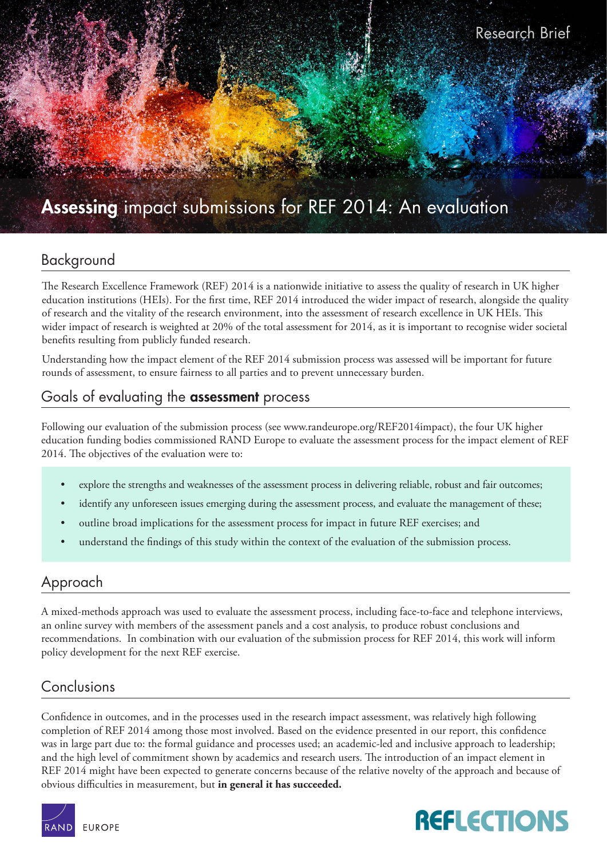

## Background

The Research Excellence Framework (REF) 2014 is a nationwide initiative to assess the quality of research in UK higher education institutions (HEIs). For the first time, REF 2014 introduced the wider impact of research, alongside the quality of research and the vitality of the research environment, into the assessment of research excellence in UK HEIs. This wider impact of research is weighted at 20% of the total assessment for 2014, as it is important to recognise wider societal benefits resulting from publicly funded research.

Understanding how the impact element of the REF 2014 submission process was assessed will be important for future rounds of assessment, to ensure fairness to all parties and to prevent unnecessary burden.

# Goals of evaluating the assessment process

Following our evaluation of the submission process (see [www.randeurope.org/REF2014impact\)](http://www.randeurope.org/REF2014impact), the four UK higher education funding bodies commissioned RAND Europe to evaluate the assessment process for the impact element of REF 2014. The objectives of the evaluation were to:

- explore the strengths and weaknesses of the assessment process in delivering reliable, robust and fair outcomes;
- identify any unforeseen issues emerging during the assessment process, and evaluate the management of these;
- outline broad implications for the assessment process for impact in future REF exercises; and
- understand the findings of this study within the context of the evaluation of the submission process.

## Approach

A mixed-methods approach was used to evaluate the assessment process, including face-to-face and telephone interviews, an online survey with members of the assessment panels and a cost analysis, to produce robust conclusions and recommendations. In combination with our evaluation of the submission process for REF 2014, this work will inform policy development for the next REF exercise.

## Conclusions

Confidence in outcomes, and in the processes used in the research impact assessment, was relatively high following completion of REF 2014 among those most involved. Based on the evidence presented in our report, this confidence was in large part due to: the formal guidance and processes used; an academic-led and inclusive approach to leadership; and the high level of commitment shown by academics and research users. The introduction of an impact element in REF 2014 might have been expected to generate concerns because of the relative novelty of the approach and because of obvious difficulties in measurement, but **in general it has succeeded.**